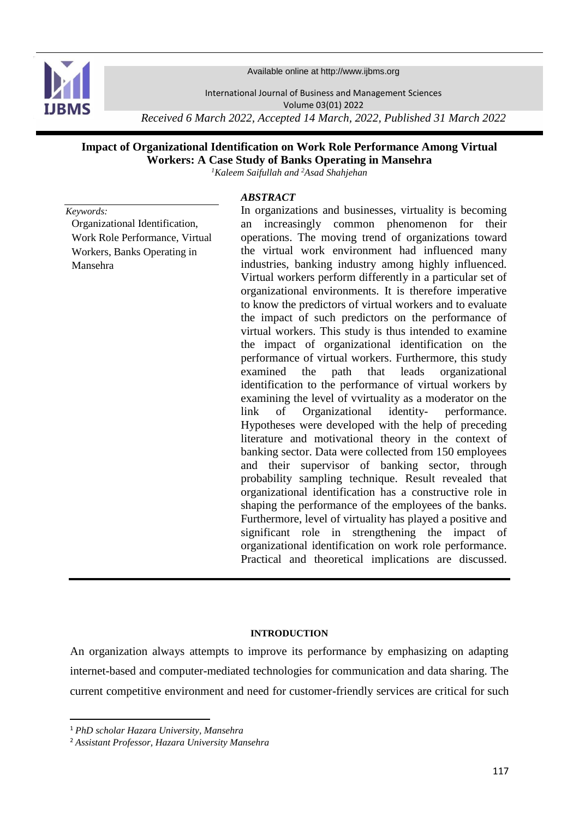

Available online at http://www.ijbms.org

International Journal of Business and Management Sciences

Volume 03(01) 2022

*Received 6 March 2022, Accepted 14 March, 2022, Published 31 March 2022*

# **Impact of Organizational Identification on Work Role Performance Among Virtual Workers: A Case Study of Banks Operating in Mansehra**

*<sup>1</sup>Kaleem Saifullah and <sup>2</sup>Asad Shahjehan*

## *ABSTRACT*

*Keywords:* Organizational Identification, Work Role Performance, Virtual Workers, Banks Operating in Mansehra

In organizations and businesses, virtuality is becoming an increasingly common phenomenon for their operations. The moving trend of organizations toward the virtual work environment had influenced many industries, banking industry among highly influenced. Virtual workers perform differently in a particular set of organizational environments. It is therefore imperative to know the predictors of virtual workers and to evaluate the impact of such predictors on the performance of virtual workers. This study is thus intended to examine the impact of organizational identification on the performance of virtual workers. Furthermore, this study examined the path that leads organizational identification to the performance of virtual workers by examining the level of vvirtuality as a moderator on the link of Organizational identity- performance. Hypotheses were developed with the help of preceding literature and motivational theory in the context of banking sector. Data were collected from 150 employees and their supervisor of banking sector, through probability sampling technique. Result revealed that organizational identification has a constructive role in shaping the performance of the employees of the banks. Furthermore, level of virtuality has played a positive and significant role in strengthening the impact of organizational identification on work role performance. Practical and theoretical implications are discussed.

#### **INTRODUCTION**

An organization always attempts to improve its performance by emphasizing on adapting internet-based and computer-mediated technologies for communication and data sharing. The current competitive environment and need for customer-friendly services are critical for such

**.** 

<sup>1</sup> *PhD scholar Hazara University, Mansehra*

<sup>2</sup> *Assistant Professor, Hazara University Mansehra*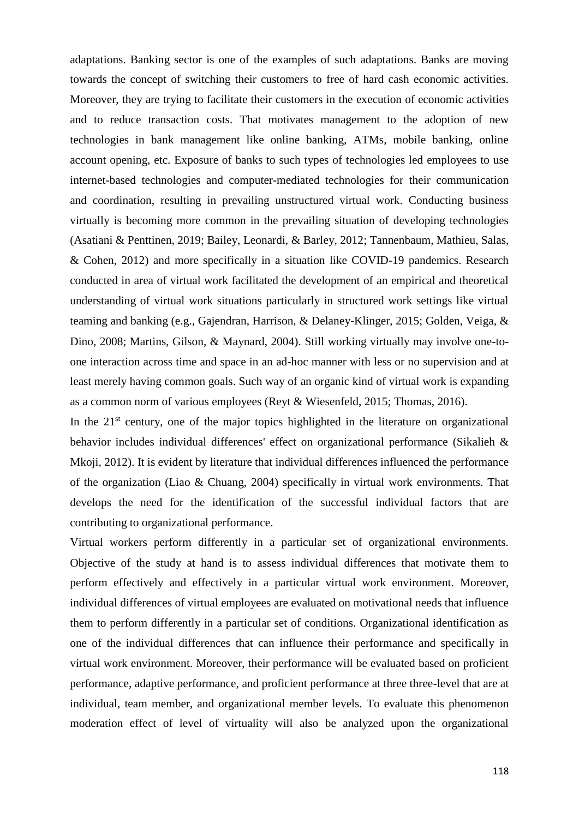adaptations. Banking sector is one of the examples of such adaptations. Banks are moving towards the concept of switching their customers to free of hard cash economic activities. Moreover, they are trying to facilitate their customers in the execution of economic activities and to reduce transaction costs. That motivates management to the adoption of new technologies in bank management like online banking, ATMs, mobile banking, online account opening, etc. Exposure of banks to such types of technologies led employees to use internet-based technologies and computer-mediated technologies for their communication and coordination, resulting in prevailing unstructured virtual work. Conducting business virtually is becoming more common in the prevailing situation of developing technologies [\(Asatiani & Penttinen, 2019;](#page-15-0) [Bailey, Leonardi, & Barley, 2012;](#page-15-1) [Tannenbaum, Mathieu, Salas,](#page-19-0)  [& Cohen, 2012\)](#page-19-0) and more specifically in a situation like COVID-19 pandemics. Research conducted in area of virtual work facilitated the development of an empirical and theoretical understanding of virtual work situations particularly in structured work settings like virtual teaming and banking (e.g., [Gajendran, Harrison, & Delaney](#page-16-0)‐Klinger, 2015; [Golden, Veiga, &](#page-17-0)  [Dino, 2008;](#page-17-0) [Martins, Gilson, & Maynard, 2004\)](#page-18-0). Still working virtually may involve one-toone interaction across time and space in an ad-hoc manner with less or no supervision and at least merely having common goals. Such way of an organic kind of virtual work is expanding as a common norm of various employees [\(Reyt & Wiesenfeld, 2015;](#page-18-1) [Thomas, 2016\)](#page-19-1).

In the  $21<sup>st</sup>$  century, one of the major topics highlighted in the literature on organizational behavior includes individual differences' effect on organizational performance [\(Sikalieh &](#page-19-2)  [Mkoji, 2012\)](#page-19-2). It is evident by literature that individual differences influenced the performance of the organization [\(Liao & Chuang, 2004\)](#page-18-2) specifically in virtual work environments. That develops the need for the identification of the successful individual factors that are contributing to organizational performance.

Virtual workers perform differently in a particular set of organizational environments. Objective of the study at hand is to assess individual differences that motivate them to perform effectively and effectively in a particular virtual work environment. Moreover, individual differences of virtual employees are evaluated on motivational needs that influence them to perform differently in a particular set of conditions. Organizational identification as one of the individual differences that can influence their performance and specifically in virtual work environment. Moreover, their performance will be evaluated based on proficient performance, adaptive performance, and proficient performance at three three-level that are at individual, team member, and organizational member levels. To evaluate this phenomenon moderation effect of level of virtuality will also be analyzed upon the organizational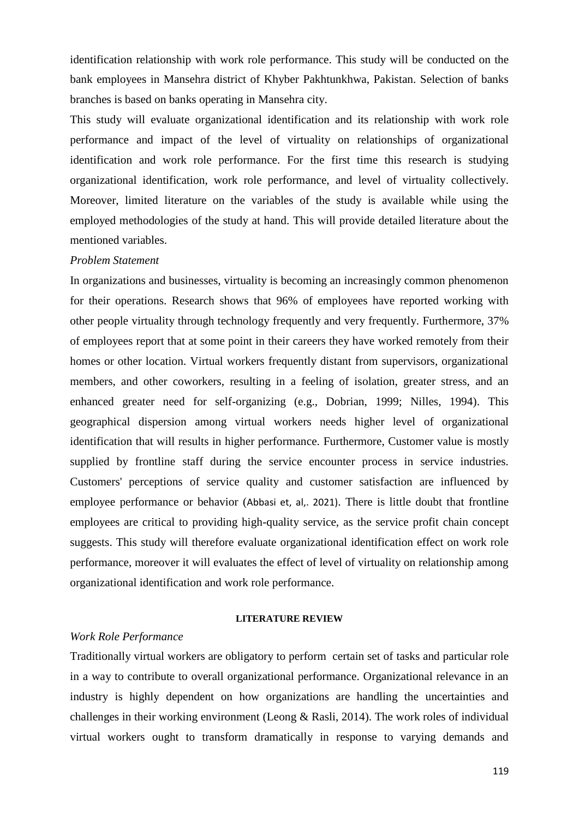identification relationship with work role performance. This study will be conducted on the bank employees in Mansehra district of Khyber Pakhtunkhwa, Pakistan. Selection of banks branches is based on banks operating in Mansehra city.

This study will evaluate organizational identification and its relationship with work role performance and impact of the level of virtuality on relationships of organizational identification and work role performance. For the first time this research is studying organizational identification, work role performance, and level of virtuality collectively. Moreover, limited literature on the variables of the study is available while using the employed methodologies of the study at hand. This will provide detailed literature about the mentioned variables.

# *Problem Statement*

In organizations and businesses, virtuality is becoming an increasingly common phenomenon for their operations. Research shows that 96% of employees have reported working with other people virtuality through technology frequently and very frequently. Furthermore, 37% of employees report that at some point in their careers they have worked remotely from their homes or other location. Virtual workers frequently distant from supervisors, organizational members, and other coworkers, resulting in a feeling of isolation, greater stress, and an enhanced greater need for self-organizing (e.g., [Dobrian, 1999;](#page-16-1) [Nilles, 1994\)](#page-18-3). This geographical dispersion among virtual workers needs higher level of organizational identification that will results in higher performance. Furthermore, Customer value is mostly supplied by frontline staff during the service encounter process in service industries. Customers' perceptions of service quality and customer satisfaction are influenced by employee performance or behavior (Abbasi et, al,. 2021). There is little doubt that frontline employees are critical to providing high-quality service, as the service profit chain concept suggests. This study will therefore evaluate organizational identification effect on work role performance, moreover it will evaluates the effect of level of virtuality on relationship among organizational identification and work role performance.

#### **LITERATURE REVIEW**

#### *Work Role Performance*

Traditionally virtual workers are obligatory to perform certain set of tasks and particular role in a way to contribute to overall organizational performance. Organizational relevance in an industry is highly dependent on how organizations are handling the uncertainties and challenges in their working environment [\(Leong & Rasli, 2014\)](#page-17-1). The work roles of individual virtual workers ought to transform dramatically in response to varying demands and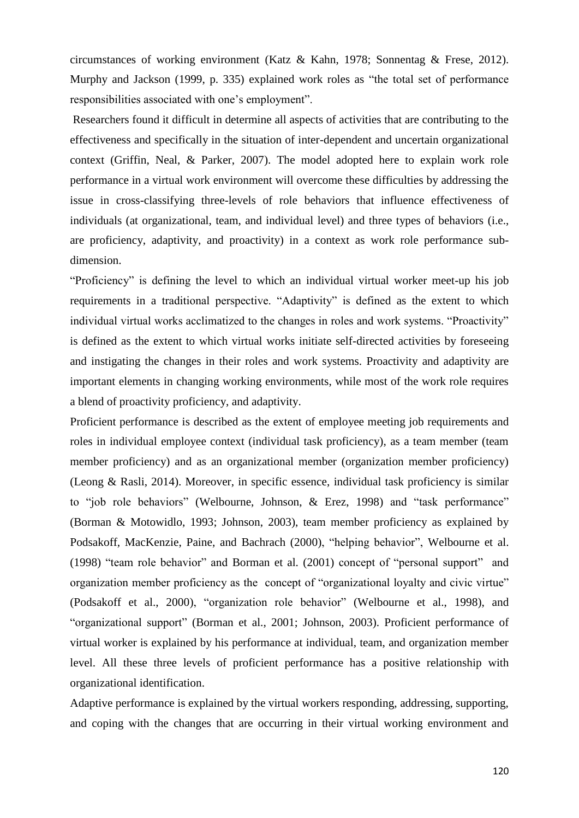circumstances of working environment [\(Katz & Kahn, 1978;](#page-17-2) [Sonnentag & Frese, 2012\)](#page-19-3). [Murphy and Jackson \(1999, p. 335\)](#page-18-4) explained work roles as "the total set of performance responsibilities associated with one's employment".

Researchers found it difficult in determine all aspects of activities that are contributing to the effectiveness and specifically in the situation of inter-dependent and uncertain organizational context [\(Griffin, Neal, & Parker, 2007\)](#page-17-3). The model adopted here to explain work role performance in a virtual work environment will overcome these difficulties by addressing the issue in cross-classifying three-levels of role behaviors that influence effectiveness of individuals (at organizational, team, and individual level) and three types of behaviors (i.e., are proficiency, adaptivity, and proactivity) in a context as work role performance subdimension.

"Proficiency" is defining the level to which an individual virtual worker meet-up his job requirements in a traditional perspective. "Adaptivity" is defined as the extent to which individual virtual works acclimatized to the changes in roles and work systems. "Proactivity" is defined as the extent to which virtual works initiate self-directed activities by foreseeing and instigating the changes in their roles and work systems. Proactivity and adaptivity are important elements in changing working environments, while most of the work role requires a blend of proactivity proficiency, and adaptivity.

Proficient performance is described as the extent of employee meeting job requirements and roles in individual employee context (individual task proficiency), as a team member (team member proficiency) and as an organizational member (organization member proficiency) [\(Leong & Rasli, 2014\)](#page-17-1). Moreover, in specific essence, individual task proficiency is similar to "job role behaviors" [\(Welbourne, Johnson, & Erez, 1998\)](#page-19-4) and "task performance" [\(Borman & Motowidlo, 1993;](#page-16-2) [Johnson, 2003\)](#page-17-4), team member proficiency as explained by [Podsakoff, MacKenzie, Paine, and Bachrach \(2000\),](#page-18-5) "helping behavior", [Welbourne et al.](#page-19-4)  (1998) "team role behavior" and [Borman et al. \(2001\)](#page-15-2) concept of "personal support" and organization member proficiency as the concept of "organizational loyalty and civic virtue" [\(Podsakoff et al., 2000\)](#page-18-5), "organization role behavior" [\(Welbourne et al., 1998\)](#page-19-4), and "organizational support" [\(Borman et al., 2001;](#page-15-2) [Johnson, 2003\)](#page-17-4). Proficient performance of virtual worker is explained by his performance at individual, team, and organization member level. All these three levels of proficient performance has a positive relationship with organizational identification.

Adaptive performance is explained by the virtual workers responding, addressing, supporting, and coping with the changes that are occurring in their virtual working environment and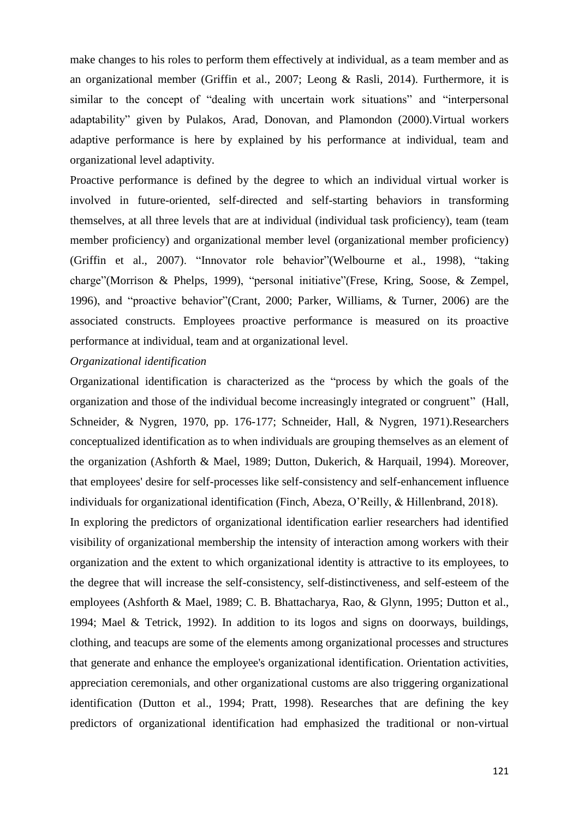make changes to his roles to perform them effectively at individual, as a team member and as an organizational member [\(Griffin et al., 2007;](#page-17-3) [Leong & Rasli, 2014\)](#page-17-1). Furthermore, it is similar to the concept of "dealing with uncertain work situations" and "interpersonal adaptability" given by [Pulakos, Arad, Donovan, and Plamondon \(2000\).](#page-18-6)Virtual workers adaptive performance is here by explained by his performance at individual, team and organizational level adaptivity.

Proactive performance is defined by the degree to which an individual virtual worker is involved in future-oriented, self-directed and self-starting behaviors in transforming themselves, at all three levels that are at individual (individual task proficiency), team (team member proficiency) and organizational member level (organizational member proficiency) [\(Griffin et al., 2007\)](#page-17-3). "Innovator role behavior"[\(Welbourne et al., 1998\)](#page-19-4), "taking charge"[\(Morrison & Phelps, 1999\)](#page-18-7), "personal initiative"[\(Frese, Kring, Soose, & Zempel,](#page-16-3)  [1996\)](#page-16-3), and "proactive behavior"[\(Crant, 2000;](#page-16-4) [Parker, Williams, & Turner, 2006\)](#page-18-8) are the associated constructs. Employees proactive performance is measured on its proactive performance at individual, team and at organizational level.

## *Organizational identification*

Organizational identification is characterized as the "process by which the goals of the organization and those of the individual become increasingly integrated or congruent" [\(Hall,](#page-17-5)  [Schneider, & Nygren, 1970, pp. 176-177;](#page-17-5) [Schneider, Hall, & Nygren, 1971\)](#page-19-5).Researchers conceptualized identification as to when individuals are grouping themselves as an element of the organization [\(Ashforth & Mael, 1989;](#page-15-3) [Dutton, Dukerich, & Harquail, 1994\)](#page-16-5). Moreover, that employees' desire for self-processes like self-consistency and self-enhancement influence individuals for organizational identification [\(Finch, Abeza, O'Reilly, & Hillenbrand, 2018\)](#page-16-6).

In exploring the predictors of organizational identification earlier researchers had identified visibility of organizational membership the intensity of interaction among workers with their organization and the extent to which organizational identity is attractive to its employees, to the degree that will increase the self-consistency, self-distinctiveness, and self-esteem of the employees [\(Ashforth & Mael, 1989;](#page-15-3) [C. B. Bhattacharya, Rao, & Glynn, 1995;](#page-15-4) [Dutton et al.,](#page-16-5)  [1994;](#page-16-5) [Mael & Tetrick, 1992\)](#page-18-9). In addition to its logos and signs on doorways, buildings, clothing, and teacups are some of the elements among organizational processes and structures that generate and enhance the employee's organizational identification. Orientation activities, appreciation ceremonials, and other organizational customs are also triggering organizational identification [\(Dutton et al., 1994;](#page-16-5) [Pratt, 1998\)](#page-18-10). Researches that are defining the key predictors of organizational identification had emphasized the traditional or non-virtual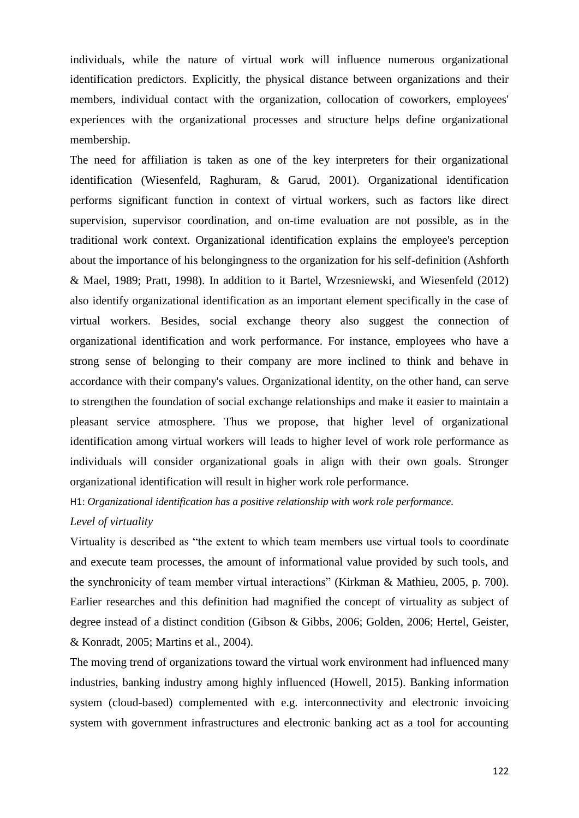individuals, while the nature of virtual work will influence numerous organizational identification predictors. Explicitly, the physical distance between organizations and their members, individual contact with the organization, collocation of coworkers, employees' experiences with the organizational processes and structure helps define organizational membership.

The need for affiliation is taken as one of the key interpreters for their organizational identification [\(Wiesenfeld, Raghuram, & Garud, 2001\)](#page-19-6). Organizational identification performs significant function in context of virtual workers, such as factors like direct supervision, supervisor coordination, and on-time evaluation are not possible, as in the traditional work context. Organizational identification explains the employee's perception about the importance of his belongingness to the organization for his self-definition [\(Ashforth](#page-15-3)  [& Mael, 1989;](#page-15-3) [Pratt, 1998\)](#page-18-10). In addition to it [Bartel, Wrzesniewski, and Wiesenfeld \(2012\)](#page-15-5) also identify organizational identification as an important element specifically in the case of virtual workers. Besides, social exchange theory also suggest the connection of organizational identification and work performance. For instance, employees who have a strong sense of belonging to their company are more inclined to think and behave in accordance with their company's values. Organizational identity, on the other hand, can serve to strengthen the foundation of social exchange relationships and make it easier to maintain a pleasant service atmosphere. Thus we propose, that higher level of organizational identification among virtual workers will leads to higher level of work role performance as individuals will consider organizational goals in align with their own goals. Stronger organizational identification will result in higher work role performance.

H1: *Organizational identification has a positive relationship with work role performance.*

## *Level of virtuality*

Virtuality is described as "the extent to which team members use virtual tools to coordinate and execute team processes, the amount of informational value provided by such tools, and the synchronicity of team member virtual interactions" [\(Kirkman & Mathieu, 2005, p. 700\)](#page-17-6). Earlier researches and this definition had magnified the concept of virtuality as subject of degree instead of a distinct condition [\(Gibson & Gibbs, 2006;](#page-17-7) [Golden, 2006;](#page-17-8) [Hertel, Geister,](#page-17-9)  [& Konradt, 2005;](#page-17-9) [Martins et al., 2004\)](#page-18-0).

The moving trend of organizations toward the virtual work environment had influenced many industries, banking industry among highly influenced [\(Howell, 2015\)](#page-17-10). Banking information system (cloud-based) complemented with e.g. interconnectivity and electronic invoicing system with government infrastructures and electronic banking act as a tool for accounting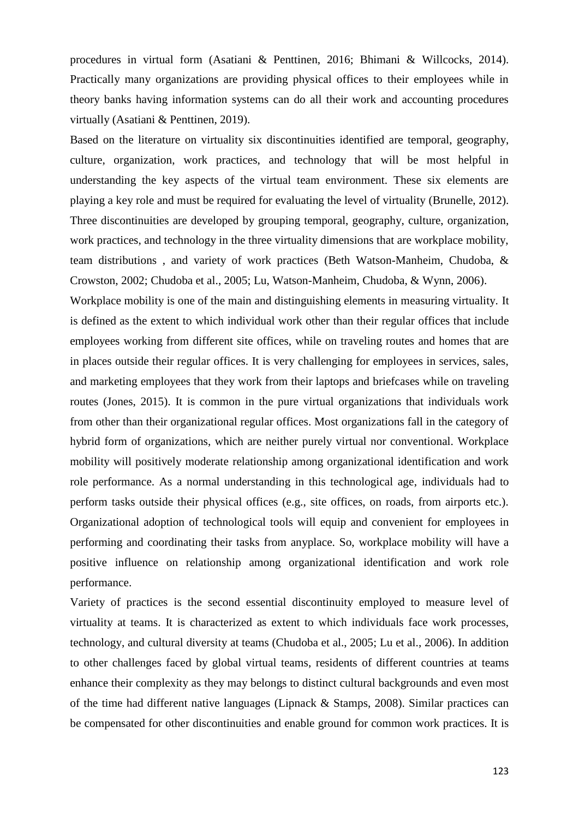procedures in virtual form [\(Asatiani & Penttinen, 2016;](#page-15-6) [Bhimani & Willcocks, 2014\)](#page-15-7). Practically many organizations are providing physical offices to their employees while in theory banks having information systems can do all their work and accounting procedures virtually [\(Asatiani & Penttinen, 2019\)](#page-15-0).

Based on the literature on virtuality six discontinuities identified are temporal, geography, culture, organization, work practices, and technology that will be most helpful in understanding the key aspects of the virtual team environment. These six elements are playing a key role and must be required for evaluating the level of virtuality [\(Brunelle, 2012\)](#page-16-7). Three discontinuities are developed by grouping temporal, geography, culture, organization, work practices, and technology in the three virtuality dimensions that are workplace mobility, team distributions , and variety of work practices [\(Beth Watson-Manheim, Chudoba, &](#page-15-8)  [Crowston, 2002;](#page-15-8) [Chudoba et al., 2005;](#page-16-8) [Lu, Watson-Manheim, Chudoba, & Wynn, 2006\)](#page-18-11).

Workplace mobility is one of the main and distinguishing elements in measuring virtuality. It is defined as the extent to which individual work other than their regular offices that include employees working from different site offices, while on traveling routes and homes that are in places outside their regular offices. It is very challenging for employees in services, sales, and marketing employees that they work from their laptops and briefcases while on traveling routes [\(Jones, 2015\)](#page-17-11). It is common in the pure virtual organizations that individuals work from other than their organizational regular offices. Most organizations fall in the category of hybrid form of organizations, which are neither purely virtual nor conventional. Workplace mobility will positively moderate relationship among organizational identification and work role performance. As a normal understanding in this technological age, individuals had to perform tasks outside their physical offices (e.g., site offices, on roads, from airports etc.). Organizational adoption of technological tools will equip and convenient for employees in performing and coordinating their tasks from anyplace. So, workplace mobility will have a positive influence on relationship among organizational identification and work role performance.

Variety of practices is the second essential discontinuity employed to measure level of virtuality at teams. It is characterized as extent to which individuals face work processes, technology, and cultural diversity at teams [\(Chudoba et al., 2005;](#page-16-8) [Lu et al., 2006\)](#page-18-11). In addition to other challenges faced by global virtual teams, residents of different countries at teams enhance their complexity as they may belongs to distinct cultural backgrounds and even most of the time had different native languages [\(Lipnack & Stamps, 2008\)](#page-18-12). Similar practices can be compensated for other discontinuities and enable ground for common work practices. It is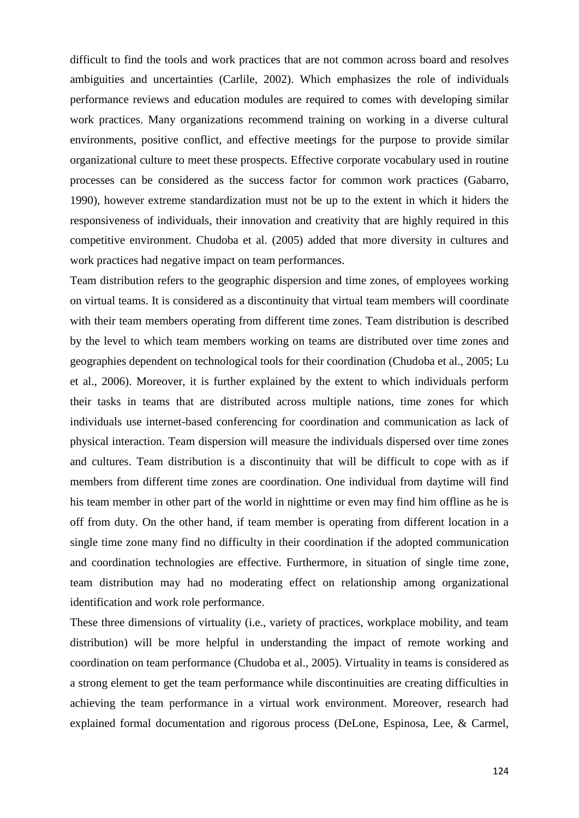difficult to find the tools and work practices that are not common across board and resolves ambiguities and uncertainties [\(Carlile, 2002\)](#page-16-9). Which emphasizes the role of individuals performance reviews and education modules are required to comes with developing similar work practices. Many organizations recommend training on working in a diverse cultural environments, positive conflict, and effective meetings for the purpose to provide similar organizational culture to meet these prospects. Effective corporate vocabulary used in routine processes can be considered as the success factor for common work practices [\(Gabarro,](#page-16-10)  [1990\)](#page-16-10), however extreme standardization must not be up to the extent in which it hiders the responsiveness of individuals, their innovation and creativity that are highly required in this competitive environment. [Chudoba et al. \(2005\)](#page-16-8) added that more diversity in cultures and work practices had negative impact on team performances.

Team distribution refers to the geographic dispersion and time zones, of employees working on virtual teams. It is considered as a discontinuity that virtual team members will coordinate with their team members operating from different time zones. Team distribution is described by the level to which team members working on teams are distributed over time zones and geographies dependent on technological tools for their coordination [\(Chudoba et al., 2005;](#page-16-8) [Lu](#page-18-11)  [et al., 2006\)](#page-18-11). Moreover, it is further explained by the extent to which individuals perform their tasks in teams that are distributed across multiple nations, time zones for which individuals use internet-based conferencing for coordination and communication as lack of physical interaction. Team dispersion will measure the individuals dispersed over time zones and cultures. Team distribution is a discontinuity that will be difficult to cope with as if members from different time zones are coordination. One individual from daytime will find his team member in other part of the world in nighttime or even may find him offline as he is off from duty. On the other hand, if team member is operating from different location in a single time zone many find no difficulty in their coordination if the adopted communication and coordination technologies are effective. Furthermore, in situation of single time zone, team distribution may had no moderating effect on relationship among organizational identification and work role performance.

These three dimensions of virtuality (i.e., variety of practices, workplace mobility, and team distribution) will be more helpful in understanding the impact of remote working and coordination on team performance [\(Chudoba et al., 2005\)](#page-16-8). Virtuality in teams is considered as a strong element to get the team performance while discontinuities are creating difficulties in achieving the team performance in a virtual work environment. Moreover, research had explained formal documentation and rigorous process [\(DeLone, Espinosa, Lee, & Carmel,](#page-16-11)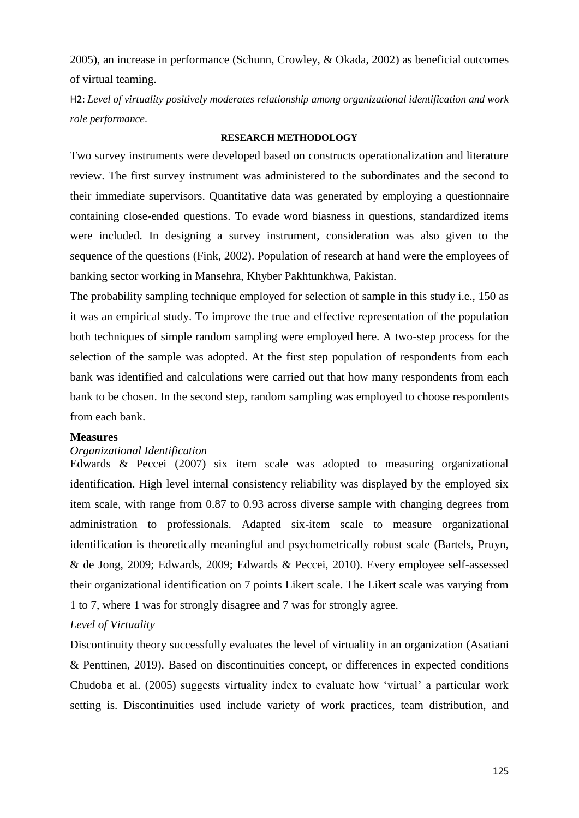[2005\)](#page-16-11), an increase in performance [\(Schunn, Crowley, & Okada, 2002\)](#page-19-7) as beneficial outcomes of virtual teaming.

H2: *Level of virtuality positively moderates relationship among organizational identification and work role performance*.

## **RESEARCH METHODOLOGY**

Two survey instruments were developed based on constructs operationalization and literature review. The first survey instrument was administered to the subordinates and the second to their immediate supervisors. Quantitative data was generated by employing a questionnaire containing close-ended questions. To evade word biasness in questions, standardized items were included. In designing a survey instrument, consideration was also given to the sequence of the questions [\(Fink, 2002\)](#page-16-12). Population of research at hand were the employees of banking sector working in Mansehra, Khyber Pakhtunkhwa, Pakistan.

The probability sampling technique employed for selection of sample in this study i.e., 150 as it was an empirical study. To improve the true and effective representation of the population both techniques of simple random sampling were employed here. A two-step process for the selection of the sample was adopted. At the first step population of respondents from each bank was identified and calculations were carried out that how many respondents from each bank to be chosen. In the second step, random sampling was employed to choose respondents from each bank.

#### **Measures**

## *Organizational Identification*

Edwards & Peccei (2007) six item scale was adopted to measuring organizational identification. High level internal consistency reliability was displayed by the employed six item scale, with range from 0.87 to 0.93 across diverse sample with changing degrees from administration to professionals. Adapted six-item scale to measure organizational identification is theoretically meaningful and psychometrically robust scale [\(Bartels, Pruyn,](#page-15-9)  [& de Jong, 2009;](#page-15-9) [Edwards, 2009;](#page-16-13) [Edwards & Peccei, 2010\)](#page-16-14). Every employee self-assessed their organizational identification on 7 points Likert scale. The Likert scale was varying from 1 to 7, where 1 was for strongly disagree and 7 was for strongly agree.

## *Level of Virtuality*

Discontinuity theory successfully evaluates the level of virtuality in an organization [\(Asatiani](#page-15-0)  [& Penttinen, 2019\)](#page-15-0). Based on discontinuities concept, or differences in expected conditions [Chudoba et al. \(2005\)](#page-16-8) suggests virtuality index to evaluate how 'virtual' a particular work setting is. Discontinuities used include variety of work practices, team distribution, and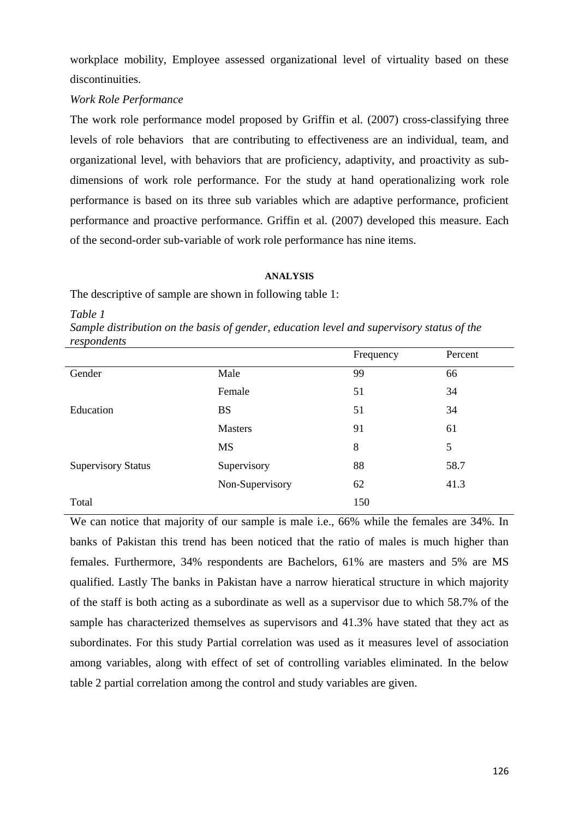workplace mobility, Employee assessed organizational level of virtuality based on these discontinuities.

## *Work Role Performance*

The work role performance model proposed by [Griffin et al. \(2007\)](#page-17-3) cross-classifying three levels of role behaviors that are contributing to effectiveness are an individual, team, and organizational level, with behaviors that are proficiency, adaptivity, and proactivity as subdimensions of work role performance. For the study at hand operationalizing work role performance is based on its three sub variables which are adaptive performance, proficient performance and proactive performance. [Griffin et al. \(2007\)](#page-17-3) developed this measure. Each of the second-order sub-variable of work role performance has nine items.

#### **ANALYSIS**

The descriptive of sample are shown in following table 1:

*Table 1*

*Sample distribution on the basis of gender, education level and supervisory status of the respondents*

|                           |                 | Frequency | Percent |
|---------------------------|-----------------|-----------|---------|
| Gender                    | Male            | 99        | 66      |
|                           | Female          | 51        | 34      |
| Education                 | <b>BS</b>       | 51        | 34      |
|                           | <b>Masters</b>  | 91        | 61      |
|                           | <b>MS</b>       | 8         | 5       |
| <b>Supervisory Status</b> | Supervisory     | 88        | 58.7    |
|                           | Non-Supervisory | 62        | 41.3    |
| Total                     |                 | 150       |         |

We can notice that majority of our sample is male i.e., 66% while the females are 34%. In banks of Pakistan this trend has been noticed that the ratio of males is much higher than females. Furthermore, 34% respondents are Bachelors, 61% are masters and 5% are MS qualified. Lastly The banks in Pakistan have a narrow hieratical structure in which majority of the staff is both acting as a subordinate as well as a supervisor due to which 58.7% of the sample has characterized themselves as supervisors and 41.3% have stated that they act as subordinates. For this study Partial correlation was used as it measures level of association among variables, along with effect of set of controlling variables eliminated. In the below table 2 partial correlation among the control and study variables are given.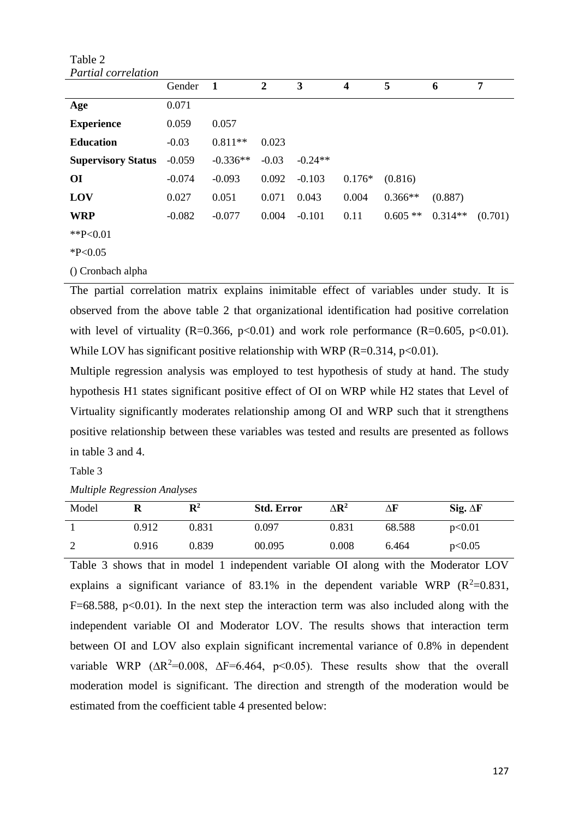| Table 2                    |          |            |                |           |                         |           |           |         |
|----------------------------|----------|------------|----------------|-----------|-------------------------|-----------|-----------|---------|
| <b>Partial</b> correlation |          |            |                |           |                         |           |           |         |
|                            | Gender   | 1          | $\overline{2}$ | 3         | $\overline{\mathbf{4}}$ | 5         | 6         | 7       |
| Age                        | 0.071    |            |                |           |                         |           |           |         |
| <b>Experience</b>          | 0.059    | 0.057      |                |           |                         |           |           |         |
| <b>Education</b>           | $-0.03$  | $0.811**$  | 0.023          |           |                         |           |           |         |
| <b>Supervisory Status</b>  | $-0.059$ | $-0.336**$ | $-0.03$        | $-0.24**$ |                         |           |           |         |
| <b>OI</b>                  | $-0.074$ | $-0.093$   | 0.092          | $-0.103$  | $0.176*$                | (0.816)   |           |         |
| LOV                        | 0.027    | 0.051      | 0.071          | 0.043     | 0.004                   | $0.366**$ | (0.887)   |         |
| <b>WRP</b>                 | $-0.082$ | $-0.077$   | 0.004          | $-0.101$  | 0.11                    | $0.605**$ | $0.314**$ | (0.701) |
| ** $P<0.01$                |          |            |                |           |                         |           |           |         |
| $*P<0.05$                  |          |            |                |           |                         |           |           |         |
| () Cronbach alpha          |          |            |                |           |                         |           |           |         |

The partial correlation matrix explains inimitable effect of variables under study. It is observed from the above table 2 that organizational identification had positive correlation with level of virtuality (R=0.366, p<0.01) and work role performance (R=0.605, p<0.01). While LOV has significant positive relationship with WRP (R=0.314, p<0.01).

Multiple regression analysis was employed to test hypothesis of study at hand. The study hypothesis H1 states significant positive effect of OI on WRP while H2 states that Level of Virtuality significantly moderates relationship among OI and WRP such that it strengthens positive relationship between these variables was tested and results are presented as follows in table 3 and 4.

Table 3

*Multiple Regression Analyses*

| Model |       | $\mathbf{R}^2$ | <b>Std. Error</b> | $\Delta {\bf R}^2$ | ΔF     | Sig. $\Delta F$ |
|-------|-------|----------------|-------------------|--------------------|--------|-----------------|
|       | 0.912 | 0.831          | 0.097             | 0.831              | 68.588 | p<0.01          |
| 2     | 0.916 | 0.839          | 00.095            | 0.008              | 6.464  | p<0.05          |

Table 3 shows that in model 1 independent variable OI along with the Moderator LOV explains a significant variance of 83.1% in the dependent variable WRP ( $R^2$ =0.831,  $F=68.588$ ,  $p<0.01$ ). In the next step the interaction term was also included along with the independent variable OI and Moderator LOV. The results shows that interaction term between OI and LOV also explain significant incremental variance of 0.8% in dependent variable WRP ( $\Delta R^2$ =0.008,  $\Delta F$ =6.464, p<0.05). These results show that the overall moderation model is significant. The direction and strength of the moderation would be estimated from the coefficient table 4 presented below: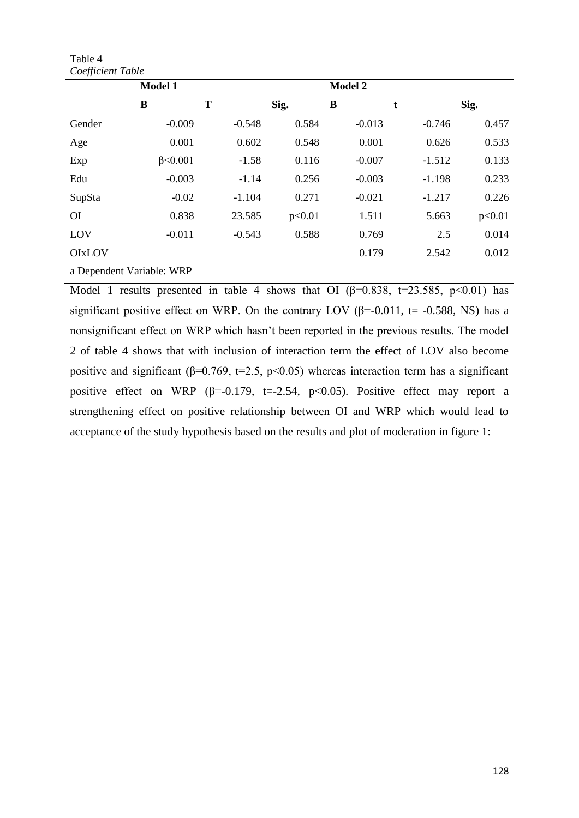Table 4 *Coefficient Table*

| JJ                        |                 |          |        |                |          |        |  |
|---------------------------|-----------------|----------|--------|----------------|----------|--------|--|
|                           | <b>Model 1</b>  |          |        | <b>Model 2</b> |          |        |  |
|                           | B               | T        | Sig.   | B              | t        | Sig.   |  |
| Gender                    | $-0.009$        | $-0.548$ | 0.584  | $-0.013$       | $-0.746$ | 0.457  |  |
| Age                       | 0.001           | 0.602    | 0.548  | 0.001          | 0.626    | 0.533  |  |
| Exp                       | $\beta$ < 0.001 | $-1.58$  | 0.116  | $-0.007$       | $-1.512$ | 0.133  |  |
| Edu                       | $-0.003$        | $-1.14$  | 0.256  | $-0.003$       | $-1.198$ | 0.233  |  |
| SupSta                    | $-0.02$         | $-1.104$ | 0.271  | $-0.021$       | $-1.217$ | 0.226  |  |
| <b>OI</b>                 | 0.838           | 23.585   | p<0.01 | 1.511          | 5.663    | p<0.01 |  |
| LOV                       | $-0.011$        | $-0.543$ | 0.588  | 0.769          | 2.5      | 0.014  |  |
| <b>OIxLOV</b>             |                 |          |        | 0.179          | 2.542    | 0.012  |  |
| a Dependent Variable: WRP |                 |          |        |                |          |        |  |

Model 1 results presented in table 4 shows that OI ( $\beta$ =0.838, t=23.585, p<0.01) has significant positive effect on WRP. On the contrary LOV ( $\beta$ =-0.011, t= -0.588, NS) has a nonsignificant effect on WRP which hasn't been reported in the previous results. The model 2 of table 4 shows that with inclusion of interaction term the effect of LOV also become positive and significant ( $\beta$ =0.769, t=2.5, p<0.05) whereas interaction term has a significant positive effect on WRP ( $\beta$ =-0.179, t=-2.54, p<0.05). Positive effect may report a strengthening effect on positive relationship between OI and WRP which would lead to acceptance of the study hypothesis based on the results and plot of moderation in figure 1: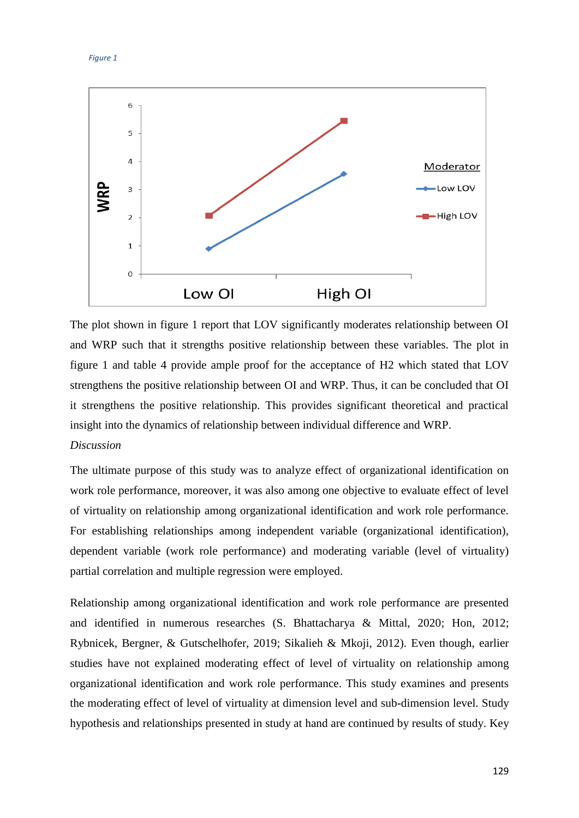#### *Figure 1*



The plot shown in figure 1 report that LOV significantly moderates relationship between OI and WRP such that it strengths positive relationship between these variables. The plot in figure 1 and table 4 provide ample proof for the acceptance of H2 which stated that LOV strengthens the positive relationship between OI and WRP. Thus, it can be concluded that OI it strengthens the positive relationship. This provides significant theoretical and practical insight into the dynamics of relationship between individual difference and WRP.

# *Discussion*

The ultimate purpose of this study was to analyze effect of organizational identification on work role performance, moreover, it was also among one objective to evaluate effect of level of virtuality on relationship among organizational identification and work role performance. For establishing relationships among independent variable (organizational identification), dependent variable (work role performance) and moderating variable (level of virtuality) partial correlation and multiple regression were employed.

Relationship among organizational identification and work role performance are presented and identified in numerous researches [\(S. Bhattacharya & Mittal, 2020;](#page-15-10) [Hon, 2012;](#page-17-12) [Rybnicek, Bergner, & Gutschelhofer, 2019;](#page-19-8) [Sikalieh & Mkoji, 2012\)](#page-19-2). Even though, earlier studies have not explained moderating effect of level of virtuality on relationship among organizational identification and work role performance. This study examines and presents the moderating effect of level of virtuality at dimension level and sub-dimension level. Study hypothesis and relationships presented in study at hand are continued by results of study. Key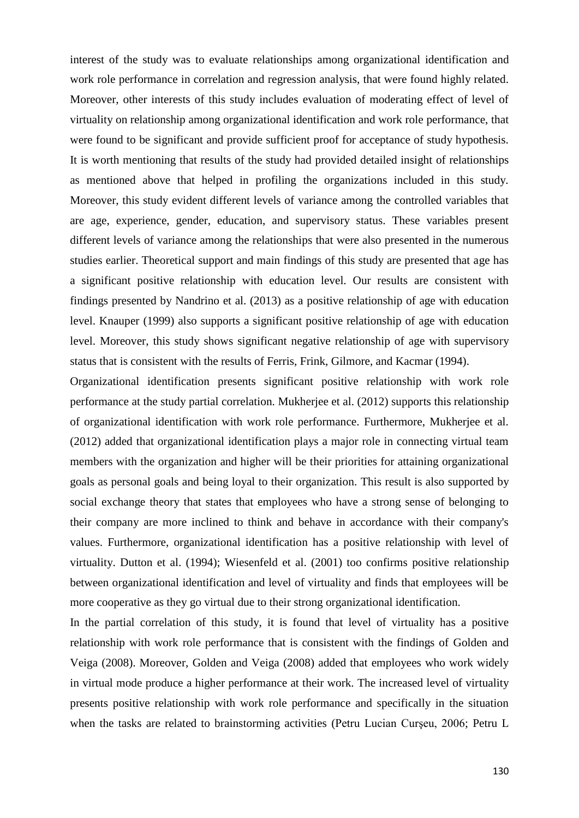interest of the study was to evaluate relationships among organizational identification and work role performance in correlation and regression analysis, that were found highly related. Moreover, other interests of this study includes evaluation of moderating effect of level of virtuality on relationship among organizational identification and work role performance, that were found to be significant and provide sufficient proof for acceptance of study hypothesis. It is worth mentioning that results of the study had provided detailed insight of relationships as mentioned above that helped in profiling the organizations included in this study. Moreover, this study evident different levels of variance among the controlled variables that are age, experience, gender, education, and supervisory status. These variables present different levels of variance among the relationships that were also presented in the numerous studies earlier. Theoretical support and main findings of this study are presented that age has a significant positive relationship with education level. Our results are consistent with findings presented by [Nandrino et al. \(2013\)](#page-18-13) as a positive relationship of age with education level. [Knauper \(1999\)](#page-17-13) also supports a significant positive relationship of age with education level. Moreover, this study shows significant negative relationship of age with supervisory status that is consistent with the results of Ferris, Frink, Gilmore, and Kacmar (1994).

Organizational identification presents significant positive relationship with work role performance at the study partial correlation. Mukherjee et al. (2012) supports this relationship of organizational identification with work role performance. Furthermore, Mukherjee et al. (2012) added that organizational identification plays a major role in connecting virtual team members with the organization and higher will be their priorities for attaining organizational goals as personal goals and being loyal to their organization. This result is also supported by social exchange theory that states that employees who have a strong sense of belonging to their company are more inclined to think and behave in accordance with their company's values. Furthermore, organizational identification has a positive relationship with level of virtuality. Dutton et al. (1994); Wiesenfeld et al. (2001) too confirms positive relationship between organizational identification and level of virtuality and finds that employees will be more cooperative as they go virtual due to their strong organizational identification.

In the partial correlation of this study, it is found that level of virtuality has a positive relationship with work role performance that is consistent with the findings of [Golden and](#page-17-14)  Veiga (2008). Moreover, [Golden and Veiga \(2008\)](#page-17-14) added that employees who work widely in virtual mode produce a higher performance at their work. The increased level of virtuality presents positive relationship with work role performance and specifically in the situation when the tasks are related to brainstorming activities [\(Petru Lucian Curşeu, 2006;](#page-16-15) [Petru L](#page-16-16)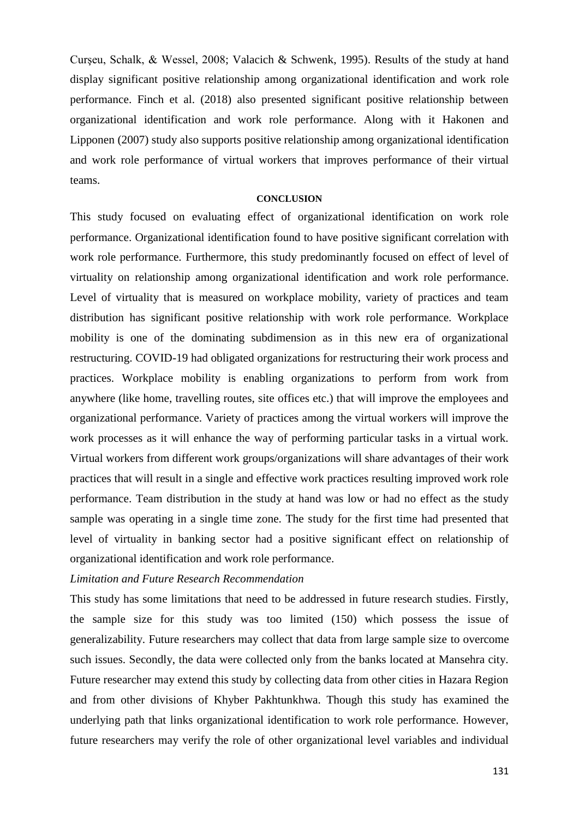[Curşeu, Schalk, & Wessel, 2008;](#page-16-16) [Valacich & Schwenk, 1995\)](#page-19-9). Results of the study at hand display significant positive relationship among organizational identification and work role performance. Finch et al. (2018) also presented significant positive relationship between organizational identification and work role performance. Along with it Hakonen and Lipponen (2007) study also supports positive relationship among organizational identification and work role performance of virtual workers that improves performance of their virtual teams.

#### **CONCLUSION**

This study focused on evaluating effect of organizational identification on work role performance. Organizational identification found to have positive significant correlation with work role performance. Furthermore, this study predominantly focused on effect of level of virtuality on relationship among organizational identification and work role performance. Level of virtuality that is measured on workplace mobility, variety of practices and team distribution has significant positive relationship with work role performance. Workplace mobility is one of the dominating subdimension as in this new era of organizational restructuring. COVID-19 had obligated organizations for restructuring their work process and practices. Workplace mobility is enabling organizations to perform from work from anywhere (like home, travelling routes, site offices etc.) that will improve the employees and organizational performance. Variety of practices among the virtual workers will improve the work processes as it will enhance the way of performing particular tasks in a virtual work. Virtual workers from different work groups/organizations will share advantages of their work practices that will result in a single and effective work practices resulting improved work role performance. Team distribution in the study at hand was low or had no effect as the study sample was operating in a single time zone. The study for the first time had presented that level of virtuality in banking sector had a positive significant effect on relationship of organizational identification and work role performance.

# *Limitation and Future Research Recommendation*

This study has some limitations that need to be addressed in future research studies. Firstly, the sample size for this study was too limited (150) which possess the issue of generalizability. Future researchers may collect that data from large sample size to overcome such issues. Secondly, the data were collected only from the banks located at Mansehra city. Future researcher may extend this study by collecting data from other cities in Hazara Region and from other divisions of Khyber Pakhtunkhwa. Though this study has examined the underlying path that links organizational identification to work role performance. However, future researchers may verify the role of other organizational level variables and individual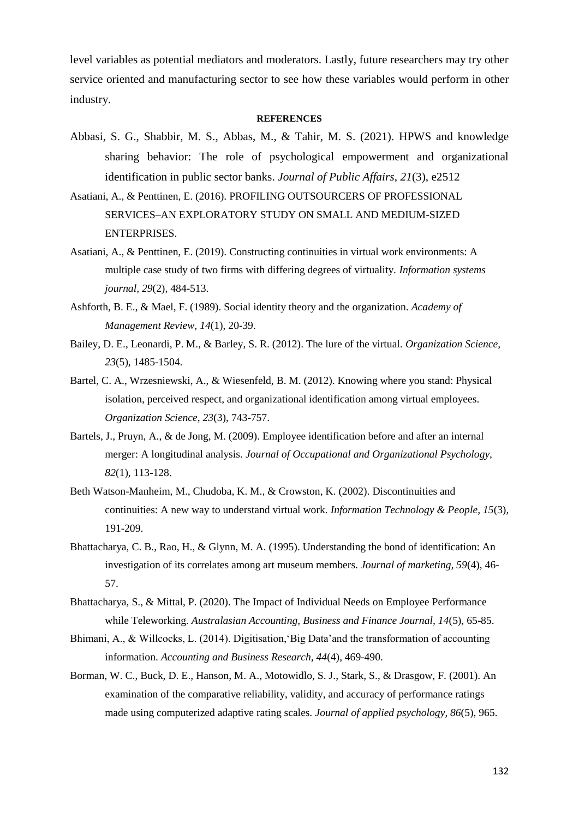level variables as potential mediators and moderators. Lastly, future researchers may try other service oriented and manufacturing sector to see how these variables would perform in other industry.

#### **REFERENCES**

- Abbasi, S. G., Shabbir, M. S., Abbas, M., & Tahir, M. S. (2021). HPWS and knowledge sharing behavior: The role of psychological empowerment and organizational identification in public sector banks. *Journal of Public Affairs*, *21*(3), e2512
- <span id="page-15-6"></span>Asatiani, A., & Penttinen, E. (2016). PROFILING OUTSOURCERS OF PROFESSIONAL SERVICES–AN EXPLORATORY STUDY ON SMALL AND MEDIUM-SIZED ENTERPRISES.
- <span id="page-15-0"></span>Asatiani, A., & Penttinen, E. (2019). Constructing continuities in virtual work environments: A multiple case study of two firms with differing degrees of virtuality. *Information systems journal, 29*(2), 484-513.
- <span id="page-15-3"></span>Ashforth, B. E., & Mael, F. (1989). Social identity theory and the organization. *Academy of Management Review, 14*(1), 20-39.
- <span id="page-15-1"></span>Bailey, D. E., Leonardi, P. M., & Barley, S. R. (2012). The lure of the virtual. *Organization Science, 23*(5), 1485-1504.
- <span id="page-15-5"></span>Bartel, C. A., Wrzesniewski, A., & Wiesenfeld, B. M. (2012). Knowing where you stand: Physical isolation, perceived respect, and organizational identification among virtual employees. *Organization Science, 23*(3), 743-757.
- <span id="page-15-9"></span>Bartels, J., Pruyn, A., & de Jong, M. (2009). Employee identification before and after an internal merger: A longitudinal analysis. *Journal of Occupational and Organizational Psychology, 82*(1), 113-128.
- <span id="page-15-8"></span>Beth Watson-Manheim, M., Chudoba, K. M., & Crowston, K. (2002). Discontinuities and continuities: A new way to understand virtual work. *Information Technology & People, 15*(3), 191-209.
- <span id="page-15-4"></span>Bhattacharya, C. B., Rao, H., & Glynn, M. A. (1995). Understanding the bond of identification: An investigation of its correlates among art museum members. *Journal of marketing, 59*(4), 46- 57.
- <span id="page-15-10"></span>Bhattacharya, S., & Mittal, P. (2020). The Impact of Individual Needs on Employee Performance while Teleworking. *Australasian Accounting, Business and Finance Journal, 14*(5), 65-85.
- <span id="page-15-7"></span>Bhimani, A., & Willcocks, L. (2014). Digitisation,'Big Data'and the transformation of accounting information. *Accounting and Business Research, 44*(4), 469-490.
- <span id="page-15-2"></span>Borman, W. C., Buck, D. E., Hanson, M. A., Motowidlo, S. J., Stark, S., & Drasgow, F. (2001). An examination of the comparative reliability, validity, and accuracy of performance ratings made using computerized adaptive rating scales. *Journal of applied psychology, 86*(5), 965.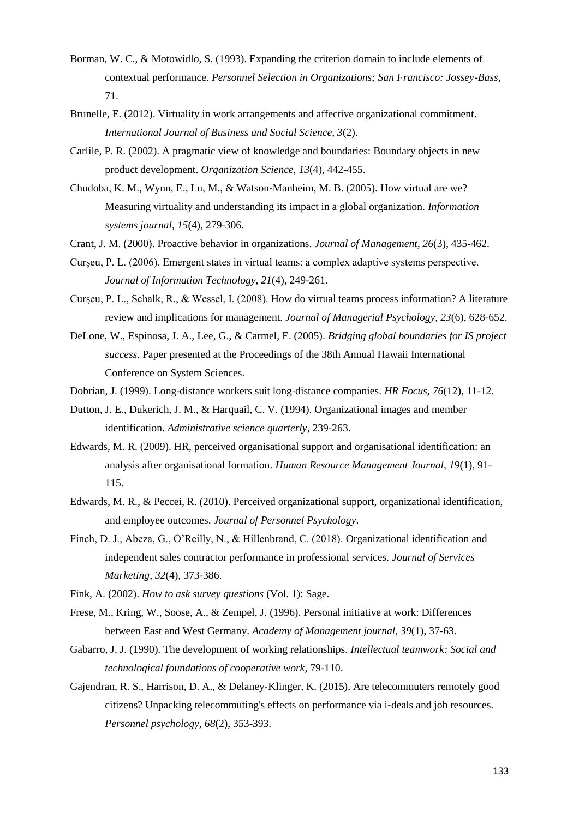- <span id="page-16-2"></span>Borman, W. C., & Motowidlo, S. (1993). Expanding the criterion domain to include elements of contextual performance. *Personnel Selection in Organizations; San Francisco: Jossey-Bass*, 71.
- <span id="page-16-7"></span>Brunelle, E. (2012). Virtuality in work arrangements and affective organizational commitment. *International Journal of Business and Social Science, 3*(2).
- <span id="page-16-9"></span>Carlile, P. R. (2002). A pragmatic view of knowledge and boundaries: Boundary objects in new product development. *Organization Science, 13*(4), 442-455.
- <span id="page-16-8"></span>Chudoba, K. M., Wynn, E., Lu, M., & Watson‐Manheim, M. B. (2005). How virtual are we? Measuring virtuality and understanding its impact in a global organization. *Information systems journal, 15*(4), 279-306.
- <span id="page-16-4"></span>Crant, J. M. (2000). Proactive behavior in organizations. *Journal of Management, 26*(3), 435-462.
- <span id="page-16-15"></span>Curşeu, P. L. (2006). Emergent states in virtual teams: a complex adaptive systems perspective. *Journal of Information Technology, 21*(4), 249-261.
- <span id="page-16-16"></span>Curşeu, P. L., Schalk, R., & Wessel, I. (2008). How do virtual teams process information? A literature review and implications for management. *Journal of Managerial Psychology, 23*(6), 628-652.
- <span id="page-16-11"></span>DeLone, W., Espinosa, J. A., Lee, G., & Carmel, E. (2005). *Bridging global boundaries for IS project success.* Paper presented at the Proceedings of the 38th Annual Hawaii International Conference on System Sciences.
- <span id="page-16-1"></span>Dobrian, J. (1999). Long-distance workers suit long-distance companies. *HR Focus, 76*(12), 11-12.
- <span id="page-16-5"></span>Dutton, J. E., Dukerich, J. M., & Harquail, C. V. (1994). Organizational images and member identification. *Administrative science quarterly*, 239-263.
- <span id="page-16-13"></span>Edwards, M. R. (2009). HR, perceived organisational support and organisational identification: an analysis after organisational formation. *Human Resource Management Journal, 19*(1), 91- 115.
- <span id="page-16-14"></span>Edwards, M. R., & Peccei, R. (2010). Perceived organizational support, organizational identification, and employee outcomes. *Journal of Personnel Psychology*.
- <span id="page-16-6"></span>Finch, D. J., Abeza, G., O'Reilly, N., & Hillenbrand, C. (2018). Organizational identification and independent sales contractor performance in professional services. *Journal of Services Marketing, 32*(4), 373-386.
- <span id="page-16-12"></span>Fink, A. (2002). *How to ask survey questions* (Vol. 1): Sage.
- <span id="page-16-3"></span>Frese, M., Kring, W., Soose, A., & Zempel, J. (1996). Personal initiative at work: Differences between East and West Germany. *Academy of Management journal, 39*(1), 37-63.
- <span id="page-16-10"></span>Gabarro, J. J. (1990). The development of working relationships. *Intellectual teamwork: Social and technological foundations of cooperative work*, 79-110.
- <span id="page-16-0"></span>Gajendran, R. S., Harrison, D. A., & Delaney‐Klinger, K. (2015). Are telecommuters remotely good citizens? Unpacking telecommuting's effects on performance via i‐deals and job resources. *Personnel psychology, 68*(2), 353-393.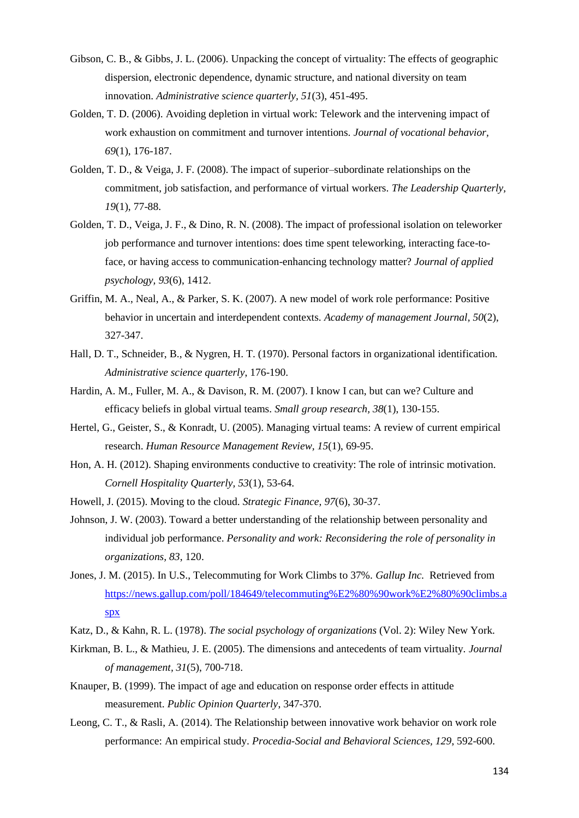- <span id="page-17-7"></span>Gibson, C. B., & Gibbs, J. L. (2006). Unpacking the concept of virtuality: The effects of geographic dispersion, electronic dependence, dynamic structure, and national diversity on team innovation. *Administrative science quarterly, 51*(3), 451-495.
- <span id="page-17-8"></span>Golden, T. D. (2006). Avoiding depletion in virtual work: Telework and the intervening impact of work exhaustion on commitment and turnover intentions. *Journal of vocational behavior, 69*(1), 176-187.
- <span id="page-17-14"></span>Golden, T. D., & Veiga, J. F. (2008). The impact of superior–subordinate relationships on the commitment, job satisfaction, and performance of virtual workers. *The Leadership Quarterly, 19*(1), 77-88.
- <span id="page-17-0"></span>Golden, T. D., Veiga, J. F., & Dino, R. N. (2008). The impact of professional isolation on teleworker job performance and turnover intentions: does time spent teleworking, interacting face-toface, or having access to communication-enhancing technology matter? *Journal of applied psychology, 93*(6), 1412.
- <span id="page-17-3"></span>Griffin, M. A., Neal, A., & Parker, S. K. (2007). A new model of work role performance: Positive behavior in uncertain and interdependent contexts. *Academy of management Journal, 50*(2), 327-347.
- <span id="page-17-5"></span>Hall, D. T., Schneider, B., & Nygren, H. T. (1970). Personal factors in organizational identification. *Administrative science quarterly*, 176-190.
- Hardin, A. M., Fuller, M. A., & Davison, R. M. (2007). I know I can, but can we? Culture and efficacy beliefs in global virtual teams. *Small group research, 38*(1), 130-155.
- <span id="page-17-9"></span>Hertel, G., Geister, S., & Konradt, U. (2005). Managing virtual teams: A review of current empirical research. *Human Resource Management Review, 15*(1), 69-95.
- <span id="page-17-12"></span>Hon, A. H. (2012). Shaping environments conductive to creativity: The role of intrinsic motivation. *Cornell Hospitality Quarterly, 53*(1), 53-64.
- <span id="page-17-10"></span>Howell, J. (2015). Moving to the cloud. *Strategic Finance, 97*(6), 30-37.
- <span id="page-17-4"></span>Johnson, J. W. (2003). Toward a better understanding of the relationship between personality and individual job performance. *Personality and work: Reconsidering the role of personality in organizations, 83*, 120.
- <span id="page-17-11"></span>Jones, J. M. (2015). In U.S., Telecommuting for Work Climbs to 37%. *Gallup Inc.* Retrieved from [https://news.gallup.com/poll/184649/telecommuting%E2%80%90work%E2%80%90climbs.a](https://news.gallup.com/poll/184649/telecommuting%E2%80%90work%E2%80%90climbs.aspx) [spx](https://news.gallup.com/poll/184649/telecommuting%E2%80%90work%E2%80%90climbs.aspx)
- <span id="page-17-2"></span>Katz, D., & Kahn, R. L. (1978). *The social psychology of organizations* (Vol. 2): Wiley New York.
- <span id="page-17-6"></span>Kirkman, B. L., & Mathieu, J. E. (2005). The dimensions and antecedents of team virtuality. *Journal of management, 31*(5), 700-718.
- <span id="page-17-13"></span>Knauper, B. (1999). The impact of age and education on response order effects in attitude measurement. *Public Opinion Quarterly*, 347-370.
- <span id="page-17-1"></span>Leong, C. T., & Rasli, A. (2014). The Relationship between innovative work behavior on work role performance: An empirical study. *Procedia-Social and Behavioral Sciences, 129*, 592-600.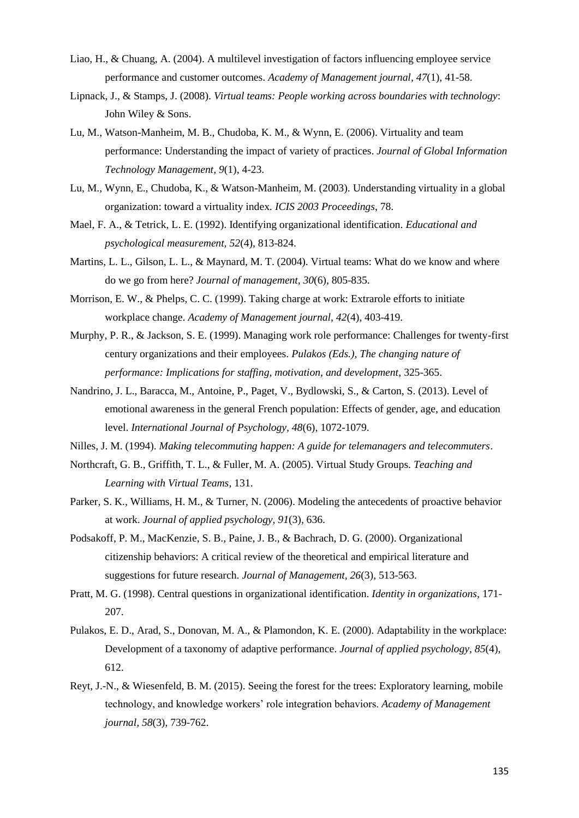- <span id="page-18-2"></span>Liao, H., & Chuang, A. (2004). A multilevel investigation of factors influencing employee service performance and customer outcomes. *Academy of Management journal, 47*(1), 41-58.
- <span id="page-18-12"></span>Lipnack, J., & Stamps, J. (2008). *Virtual teams: People working across boundaries with technology*: John Wiley & Sons.
- <span id="page-18-11"></span>Lu, M., Watson-Manheim, M. B., Chudoba, K. M., & Wynn, E. (2006). Virtuality and team performance: Understanding the impact of variety of practices. *Journal of Global Information Technology Management, 9*(1), 4-23.
- Lu, M., Wynn, E., Chudoba, K., & Watson-Manheim, M. (2003). Understanding virtuality in a global organization: toward a virtuality index. *ICIS 2003 Proceedings*, 78.
- <span id="page-18-9"></span>Mael, F. A., & Tetrick, L. E. (1992). Identifying organizational identification. *Educational and psychological measurement, 52*(4), 813-824.
- <span id="page-18-0"></span>Martins, L. L., Gilson, L. L., & Maynard, M. T. (2004). Virtual teams: What do we know and where do we go from here? *Journal of management, 30*(6), 805-835.
- <span id="page-18-7"></span>Morrison, E. W., & Phelps, C. C. (1999). Taking charge at work: Extrarole efforts to initiate workplace change. *Academy of Management journal, 42*(4), 403-419.
- <span id="page-18-4"></span>Murphy, P. R., & Jackson, S. E. (1999). Managing work role performance: Challenges for twenty-first century organizations and their employees. *Pulakos (Eds.), The changing nature of performance: Implications for staffing, motivation, and development*, 325-365.
- <span id="page-18-13"></span>Nandrino, J. L., Baracca, M., Antoine, P., Paget, V., Bydlowski, S., & Carton, S. (2013). Level of emotional awareness in the general French population: Effects of gender, age, and education level. *International Journal of Psychology, 48*(6), 1072-1079.
- <span id="page-18-3"></span>Nilles, J. M. (1994). *Making telecommuting happen: A guide for telemanagers and telecommuters*.
- Northcraft, G. B., Griffith, T. L., & Fuller, M. A. (2005). Virtual Study Groups. *Teaching and Learning with Virtual Teams*, 131.
- <span id="page-18-8"></span>Parker, S. K., Williams, H. M., & Turner, N. (2006). Modeling the antecedents of proactive behavior at work. *Journal of applied psychology, 91*(3), 636.
- <span id="page-18-5"></span>Podsakoff, P. M., MacKenzie, S. B., Paine, J. B., & Bachrach, D. G. (2000). Organizational citizenship behaviors: A critical review of the theoretical and empirical literature and suggestions for future research. *Journal of Management, 26*(3), 513-563.
- <span id="page-18-10"></span>Pratt, M. G. (1998). Central questions in organizational identification. *Identity in organizations*, 171- 207.
- <span id="page-18-6"></span>Pulakos, E. D., Arad, S., Donovan, M. A., & Plamondon, K. E. (2000). Adaptability in the workplace: Development of a taxonomy of adaptive performance. *Journal of applied psychology, 85*(4), 612.
- <span id="page-18-1"></span>Reyt, J.-N., & Wiesenfeld, B. M. (2015). Seeing the forest for the trees: Exploratory learning, mobile technology, and knowledge workers' role integration behaviors. *Academy of Management journal, 58*(3), 739-762.